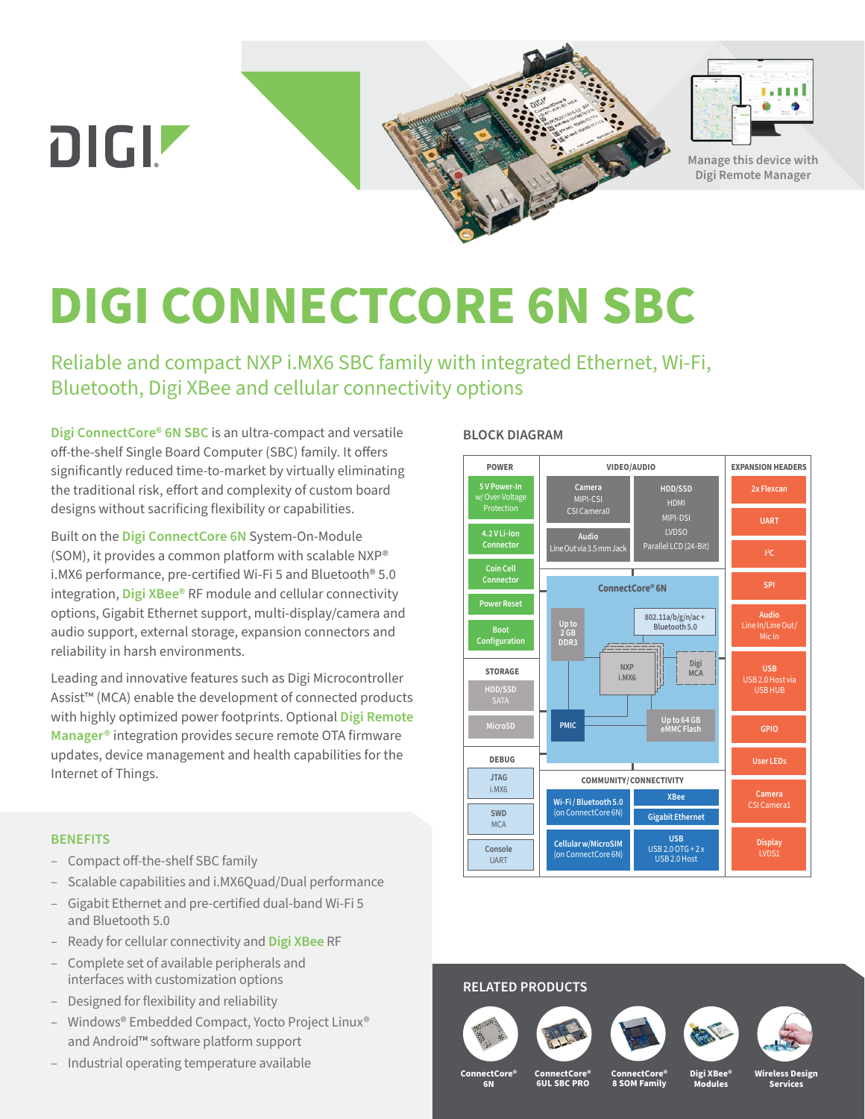



**Manage this device with Digi Remote Manager**

# **DIGI CONNECTCORE 6N SBC**

Reliable and compact NXP i.MX6 SBC family with integrated Ethernet, Wi-Fi, Bluetooth, Digi XBee and cellular connectivity options

**[Digi ConnectCore® 6N SBC](https://www.digi.com/products/embedded-systems/single-board-computers/connectcore-6-sbc)** is an ultra-compact and versatile off-the-shelf Single Board Computer (SBC) family. It offers significantly reduced time-to-market by virtually eliminating the traditional risk, effort and complexity of custom board designs without sacrificing flexibility or capabilities.

Built on the **[Digi ConnectCore 6N](https://www.digi.com/products/embedded-systems/system-on-modules/mature/connectcore-imx6)** System-On-Module (SOM), it provides a common platform with scalable NXP® i.MX6 performance, pre-certified Wi-Fi 5 and Bluetooth® 5.0 integration, **[Digi XBee®](https://www.digi.com/xbee)** RF module and cellular connectivity options, Gigabit Ethernet support, multi-display/camera and audio support, external storage, expansion connectors and reliability in harsh environments.

Leading and innovative features such as Digi Microcontroller Assist™ (MCA) enable the development of connected products with highly optimized power footprints. Optional **[Digi Remote](https://www.digi.com/products/iot-software-services/digi-remote-manager)  [Manager®](https://www.digi.com/products/iot-software-services/digi-remote-manager)** integration provides secure remote OTA firmware updates, device management and health capabilities for the Internet of Things.

#### **BENEFITS**

- Compact off-the-shelf SBC family
- Scalable capabilities and i.MX6Quad/Dual performance
- Gigabit Ethernet and pre-certified dual-band Wi-Fi 5 and Bluetooth 5.0
- Ready for cellular connectivity and **[Digi XBee](https://www.digi.com/xbee)** RF
- Complete set of available peripherals and interfaces with customization options
- Designed for flexibility and reliability
- Windows® Embedded Compact, Yocto Project Linux® and Android™ software platform support
- Industrial operating temperature available

#### **BLOCK DIAGRAM**



## **RELATED PRODUCTS**









**ConnectCore® 6N**

**ConnectCore® 6UL SBC PRO**

**ConnectCore® 8 SOM Family Digi XBee® Modules**

**Wireless Design Services**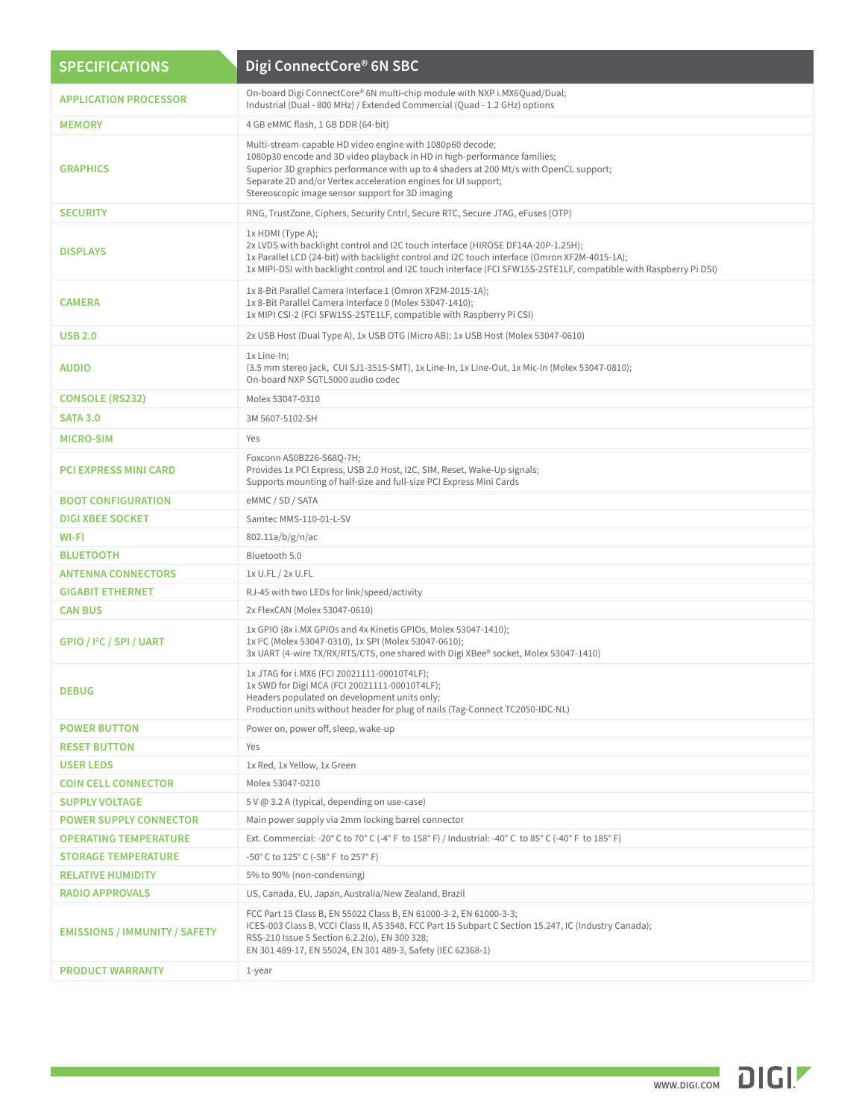| <b>SPECIFICATIONS</b>                | Digi ConnectCore® 6N SBC                                                                                                                                                                                                                                                                                                                              |
|--------------------------------------|-------------------------------------------------------------------------------------------------------------------------------------------------------------------------------------------------------------------------------------------------------------------------------------------------------------------------------------------------------|
| <b>APPLICATION PROCESSOR</b>         | On-board Digi ConnectCore® 6N multi-chip module with NXP i.MX6Quad/Dual;<br>Industrial (Dual - 800 MHz) / Extended Commercial (Quad - 1.2 GHz) options                                                                                                                                                                                                |
| <b>MEMORY</b>                        | 4 GB eMMC flash, 1 GB DDR (64-bit)                                                                                                                                                                                                                                                                                                                    |
| <b>GRAPHICS</b>                      | Multi-stream-capable HD video engine with 1080p60 decode;<br>1080p30 encode and 3D video playback in HD in high-performance families;<br>Superior 3D graphics performance with up to 4 shaders at 200 Mt/s with OpenCL support;<br>Separate 2D and/or Vertex acceleration engines for UI support;<br>Stereoscopic image sensor support for 3D imaging |
| <b>SECURITY</b>                      | RNG, TrustZone, Ciphers, Security Cntrl, Secure RTC, Secure JTAG, eFuses (OTP)                                                                                                                                                                                                                                                                        |
| <b>DISPLAYS</b>                      | 1x HDMI (Type A);<br>2x LVDS with backlight control and I2C touch interface (HIROSE DF14A-20P-1.25H);<br>1x Parallel LCD (24-bit) with backlight control and I2C touch interface (Omron XF2M-4015-1A);<br>1x MIPI-DSI with backlight control and I2C touch interface (FCI SFW15S-2STE1LF, compatible with Raspberry Pi DSI)                           |
| <b>CAMERA</b>                        | 1x 8-Bit Parallel Camera Interface 1 (Omron XF2M-2015-1A);<br>1x 8-Bit Parallel Camera Interface 0 (Molex 53047-1410);<br>1x MIPI CSI-2 (FCI SFW15S-2STE1LF, compatible with Raspberry Pi CSI)                                                                                                                                                        |
| <b>USB 2.0</b>                       | 2x USB Host (Dual Type A), 1x USB OTG (Micro AB); 1x USB Host (Molex 53047-0610)                                                                                                                                                                                                                                                                      |
| <b>AUDIO</b>                         | 1x Line-In;<br>(3.5 mm stereo jack, CUI SJ1-3515-SMT), 1x Line-In, 1x Line-Out, 1x Mic-In (Molex 53047-0810);<br>On-board NXP SGTL5000 audio codec                                                                                                                                                                                                    |
| <b>CONSOLE (RS232)</b>               | Molex 53047-0310                                                                                                                                                                                                                                                                                                                                      |
| <b>SATA 3.0</b>                      | 3M 5607-5102-SH                                                                                                                                                                                                                                                                                                                                       |
| <b>MICRO-SIM</b>                     | Yes                                                                                                                                                                                                                                                                                                                                                   |
| <b>PCI EXPRESS MINI CARD</b>         | Foxconn AS0B226-S68Q-7H;<br>Provides 1x PCI Express, USB 2.0 Host, I2C, SIM, Reset, Wake-Up signals;<br>Supports mounting of half-size and full-size PCI Express Mini Cards                                                                                                                                                                           |
| <b>BOOT CONFIGURATION</b>            | eMMC / SD / SATA                                                                                                                                                                                                                                                                                                                                      |
| <b>DIGI XBEE SOCKET</b>              | Samtec MMS-110-01-L-SV                                                                                                                                                                                                                                                                                                                                |
| WI-FI                                | 802.11a/b/g/n/ac                                                                                                                                                                                                                                                                                                                                      |
| <b>BLUETOOTH</b>                     | Bluetooth 5.0                                                                                                                                                                                                                                                                                                                                         |
| <b>ANTENNA CONNECTORS</b>            | 1x U.FL / 2x U.FL                                                                                                                                                                                                                                                                                                                                     |
| <b>GIGABIT ETHERNET</b>              | RJ-45 with two LEDs for link/speed/activity                                                                                                                                                                                                                                                                                                           |
| <b>CAN BUS</b>                       | 2x FlexCAN (Molex 53047-0610)                                                                                                                                                                                                                                                                                                                         |
| GPIO / I <sup>2</sup> C / SPI / UART | 1x GPIO (8x i.MX GPIOs and 4x Kinetis GPIOs, Molex 53047-1410);<br>1x I <sup>2</sup> C (Molex 53047-0310), 1x SPI (Molex 53047-0610);<br>3x UART (4-wire TX/RX/RTS/CTS, one shared with Digi XBee® socket, Molex 53047-1410)                                                                                                                          |
| <b>DEBUG</b>                         | 1x JTAG for i.MX6 (FCI 20021111-00010T4LF);<br>1x SWD for Digi MCA (FCI 20021111-00010T4LF);<br>Headers populated on development units only;<br>Production units without header for plug of nails (Tag-Connect TC2050-IDC-NL)                                                                                                                         |
| <b>POWER BUTTON</b>                  | Power on, power off, sleep, wake-up                                                                                                                                                                                                                                                                                                                   |
| <b>RESET BUTTON</b>                  | Yes                                                                                                                                                                                                                                                                                                                                                   |
| <b>USER LEDS</b>                     | 1x Red, 1x Yellow, 1x Green                                                                                                                                                                                                                                                                                                                           |
| <b>COIN CELL CONNECTOR</b>           | Molex 53047-0210                                                                                                                                                                                                                                                                                                                                      |
| <b>SUPPLY VOLTAGE</b>                | 5 V @ 3.2 A (typical, depending on use-case)                                                                                                                                                                                                                                                                                                          |
| <b>POWER SUPPLY CONNECTOR</b>        | Main power supply via 2mm locking barrel connector                                                                                                                                                                                                                                                                                                    |
| <b>OPERATING TEMPERATURE</b>         | Ext. Commercial: -20° C to 70° C (-4° F to 158° F) / Industrial: -40° C to 85° C (-40° F to 185° F)                                                                                                                                                                                                                                                   |
| <b>STORAGE TEMPERATURE</b>           | -50° C to 125° C (-58° F to 257° F)                                                                                                                                                                                                                                                                                                                   |
| <b>RELATIVE HUMIDITY</b>             | 5% to 90% (non-condensing)                                                                                                                                                                                                                                                                                                                            |
| <b>RADIO APPROVALS</b>               | US, Canada, EU, Japan, Australia/New Zealand, Brazil                                                                                                                                                                                                                                                                                                  |
| <b>EMISSIONS / IMMUNITY / SAFETY</b> | FCC Part 15 Class B, EN 55022 Class B, EN 61000-3-2, EN 61000-3-3;<br>ICES-003 Class B, VCCI Class II, AS 3548, FCC Part 15 Subpart C Section 15.247, IC (Industry Canada);<br>RSS-210 Issue 5 Section 6.2.2(o), EN 300 328;<br>EN 301 489-17, EN 55024, EN 301 489-3, Safety (IEC 62368-1)                                                           |
| <b>PRODUCT WARRANTY</b>              | 1-year                                                                                                                                                                                                                                                                                                                                                |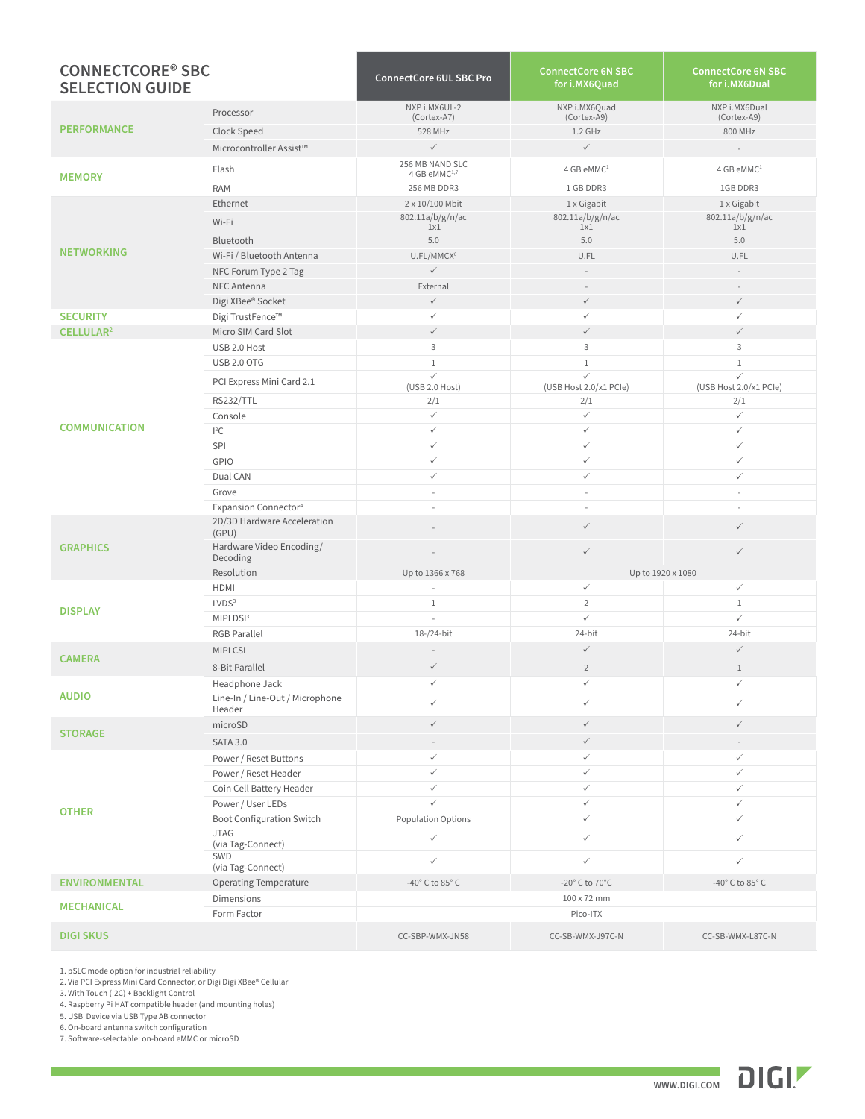| <b>CONNECTCORE<sup>®</sup> SBC</b><br><b>SELECTION GUIDE</b> |                                           | <b>ConnectCore 6UL SBC Pro</b>      | <b>ConnectCore 6N SBC</b><br>for i.MX6Quad | <b>ConnectCore 6N SBC</b><br>for i.MX6Dual |
|--------------------------------------------------------------|-------------------------------------------|-------------------------------------|--------------------------------------------|--------------------------------------------|
| <b>PERFORMANCE</b>                                           | Processor                                 | NXP i.MX6UL-2<br>(Cortex-A7)        | NXP i.MX6Quad<br>(Cortex-A9)               | NXP i.MX6Dual<br>(Cortex-A9)               |
|                                                              | Clock Speed                               | 528 MHz                             | $1.2$ GHz                                  | 800 MHz                                    |
|                                                              | Microcontroller Assist™                   | $\checkmark$                        | $\checkmark$                               |                                            |
|                                                              |                                           | 256 MB NAND SLC                     |                                            |                                            |
| <b>MEMORY</b>                                                | Flash                                     | 4 GB eMMC <sup>1,7</sup>            | 4 GB eMMC <sup>1</sup>                     | 4 GB eMMC <sup>1</sup>                     |
|                                                              | <b>RAM</b>                                | 256 MB DDR3                         | 1 GB DDR3                                  | 1GB DDR3                                   |
|                                                              | Ethernet                                  | 2 x 10/100 Mbit                     | 1 x Gigabit                                | 1 x Gigabit                                |
|                                                              | Wi-Fi                                     | 802.11a/b/g/n/ac<br>1x1             | 802.11a/b/g/n/ac<br>1x1                    | 802.11a/b/g/n/ac<br>1x1                    |
|                                                              | Bluetooth                                 | 5.0                                 | 5.0                                        | 5.0                                        |
| <b>NETWORKING</b>                                            | Wi-Fi / Bluetooth Antenna                 | U.FL/MMCX <sup>6</sup>              | U.FL                                       | U.FL                                       |
|                                                              | NFC Forum Type 2 Tag                      | $\checkmark$                        |                                            |                                            |
|                                                              | NFC Antenna                               | External                            |                                            |                                            |
|                                                              | Digi XBee® Socket                         | $\checkmark$                        | $\checkmark$                               | $\checkmark$                               |
| <b>SECURITY</b>                                              | Digi TrustFence™                          | $\checkmark$                        | ✓                                          | $\checkmark$                               |
| CELLULAR <sup>2</sup>                                        | Micro SIM Card Slot                       | $\checkmark$                        | $\checkmark$                               | $\checkmark$                               |
|                                                              | USB 2.0 Host                              | 3                                   | 3                                          | 3                                          |
|                                                              | <b>USB 2.0 OTG</b>                        | $1\,$                               | $\mathbf{1}$                               | $\mathbf 1$                                |
|                                                              | PCI Express Mini Card 2.1                 | $\checkmark$                        | $\checkmark$                               | $\checkmark$                               |
|                                                              | <b>RS232/TTL</b>                          | (USB 2.0 Host)<br>2/1               | (USB Host 2.0/x1 PCle)<br>2/1              | (USB Host 2.0/x1 PCle)<br>2/1              |
|                                                              | Console                                   | $\checkmark$                        | $\checkmark$                               | $\checkmark$                               |
| <b>COMMUNICATION</b>                                         | $l^2C$                                    | $\checkmark$                        | $\checkmark$                               | $\checkmark$                               |
|                                                              | SPI                                       | $\checkmark$                        | $\checkmark$                               | ✓                                          |
|                                                              | GPIO                                      | $\checkmark$                        | $\checkmark$                               | $\checkmark$                               |
|                                                              | Dual CAN                                  | $\checkmark$                        | $\checkmark$                               | $\checkmark$                               |
|                                                              | Grove                                     | $\overline{\phantom{a}}$            | $\overline{\phantom{a}}$                   | $\overline{\phantom{a}}$                   |
|                                                              | Expansion Connector <sup>4</sup>          | ä,                                  | $\sim$                                     | $\sim$                                     |
|                                                              | 2D/3D Hardware Acceleration<br>(GPU)      |                                     | $\checkmark$                               | $\checkmark$                               |
| <b>GRAPHICS</b>                                              | Hardware Video Encoding/<br>Decoding      |                                     | $\checkmark$                               | $\checkmark$                               |
|                                                              | Resolution                                | Up to 1366 x 768                    |                                            | Up to 1920 x 1080                          |
|                                                              | HDMI                                      | $\sim$                              | $\checkmark$                               | $\checkmark$                               |
| <b>DISPLAY</b>                                               | LVDS <sup>3</sup>                         | $\mathbf{1}$                        | $\overline{2}$                             | $\mathbf 1$                                |
|                                                              | MIPI DSI3                                 | $\overline{a}$                      | $\checkmark$                               | $\checkmark$                               |
|                                                              | <b>RGB Parallel</b>                       | 18-/24-bit                          | 24-bit                                     | 24-bit                                     |
| <b>CAMERA</b>                                                | <b>MIPICSI</b>                            | $\bar{a} = \bar{b}$                 | $\checkmark$                               | $\checkmark$                               |
|                                                              | 8-Bit Parallel                            | $\checkmark$                        | $\overline{2}$                             | $1\,$                                      |
| <b>AUDIO</b>                                                 | Headphone Jack                            | $\checkmark$                        | $\checkmark$                               | $\checkmark$                               |
|                                                              | Line-In / Line-Out / Microphone<br>Header | $\checkmark$                        | ✓                                          | ✓                                          |
| <b>STORAGE</b>                                               | microSD                                   | $\checkmark$                        | $\checkmark$                               | $\checkmark$                               |
|                                                              | <b>SATA 3.0</b>                           |                                     | $\checkmark$                               |                                            |
|                                                              | Power / Reset Buttons                     | $\checkmark$                        | $\checkmark$                               | $\checkmark$                               |
|                                                              | Power / Reset Header                      | $\checkmark$                        | $\checkmark$                               | $\checkmark$                               |
|                                                              | Coin Cell Battery Header                  | $\checkmark$                        | $\checkmark$                               | $\checkmark$                               |
|                                                              | Power / User LEDs                         | $\checkmark$                        | $\checkmark$                               | $\checkmark$                               |
| <b>OTHER</b>                                                 | <b>Boot Configuration Switch</b>          | <b>Population Options</b>           | ✓                                          | ✓                                          |
|                                                              | <b>JTAG</b><br>(via Tag-Connect)          | $\checkmark$                        | $\checkmark$                               | $\checkmark$                               |
|                                                              | SWD<br>(via Tag-Connect)                  | $\checkmark$                        | $\checkmark$                               | $\checkmark$                               |
| <b>ENVIRONMENTAL</b>                                         | <b>Operating Temperature</b>              | -40 $^{\circ}$ C to 85 $^{\circ}$ C | -20 $^{\circ}$ C to 70 $^{\circ}$ C        | -40 $^{\circ}$ C to 85 $^{\circ}$ C        |
|                                                              | <b>Dimensions</b>                         |                                     | 100 x 72 mm                                |                                            |
| <b>MECHANICAL</b>                                            | Form Factor                               |                                     | Pico-ITX                                   |                                            |
| <b>DIGI SKUS</b>                                             |                                           | CC-SBP-WMX-JN58                     | CC-SB-WMX-J97C-N                           | CC-SB-WMX-L87C-N                           |

1. pSLC mode option for industrial reliability

2. Via PCI Express Mini Card Connector, or Digi Digi XBee® Cellular

3. With Touch (I2C) + Backlight Control

4. Raspberry Pi HAT compatible header (and mounting holes)

5. USB Device via USB Type AB connector 6. On-board antenna switch configuration

7. Software-selectable: on-board eMMC or microSD